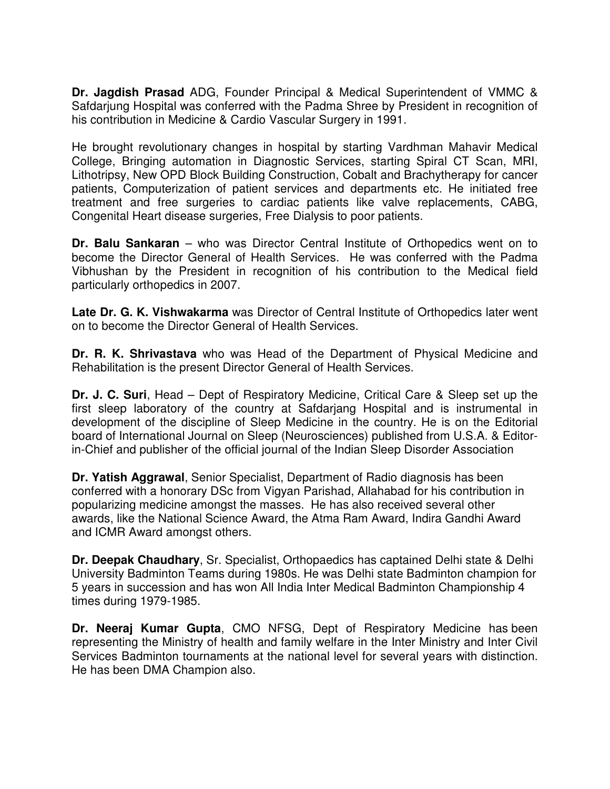**Dr. Jagdish Prasad** ADG, Founder Principal & Medical Superintendent of VMMC & Safdarjung Hospital was conferred with the Padma Shree by President in recognition of his contribution in Medicine & Cardio Vascular Surgery in 1991.

He brought revolutionary changes in hospital by starting Vardhman Mahavir Medical College, Bringing automation in Diagnostic Services, starting Spiral CT Scan, MRI, Lithotripsy, New OPD Block Building Construction, Cobalt and Brachytherapy for cancer patients, Computerization of patient services and departments etc. He initiated free treatment and free surgeries to cardiac patients like valve replacements, CABG, Congenital Heart disease surgeries, Free Dialysis to poor patients.

**Dr. Balu Sankaran** – who was Director Central Institute of Orthopedics went on to become the Director General of Health Services. He was conferred with the Padma Vibhushan by the President in recognition of his contribution to the Medical field particularly orthopedics in 2007.

**Late Dr. G. K. Vishwakarma** was Director of Central Institute of Orthopedics later went on to become the Director General of Health Services.

**Dr. R. K. Shrivastava** who was Head of the Department of Physical Medicine and Rehabilitation is the present Director General of Health Services.

**Dr. J. C. Suri**, Head – Dept of Respiratory Medicine, Critical Care & Sleep set up the first sleep laboratory of the country at Safdarjang Hospital and is instrumental in development of the discipline of Sleep Medicine in the country. He is on the Editorial board of International Journal on Sleep (Neurosciences) published from U.S.A. & Editorin-Chief and publisher of the official journal of the Indian Sleep Disorder Association

**Dr. Yatish Aggrawal**, Senior Specialist, Department of Radio diagnosis has been conferred with a honorary DSc from Vigyan Parishad, Allahabad for his contribution in popularizing medicine amongst the masses. He has also received several other awards, like the National Science Award, the Atma Ram Award, Indira Gandhi Award and ICMR Award amongst others.

**Dr. Deepak Chaudhary**, Sr. Specialist, Orthopaedics has captained Delhi state & Delhi University Badminton Teams during 1980s. He was Delhi state Badminton champion for 5 years in succession and has won All India Inter Medical Badminton Championship 4 times during 1979-1985.

**Dr. Neeraj Kumar Gupta**, CMO NFSG, Dept of Respiratory Medicine has been representing the Ministry of health and family welfare in the Inter Ministry and Inter Civil Services Badminton tournaments at the national level for several years with distinction. He has been DMA Champion also.